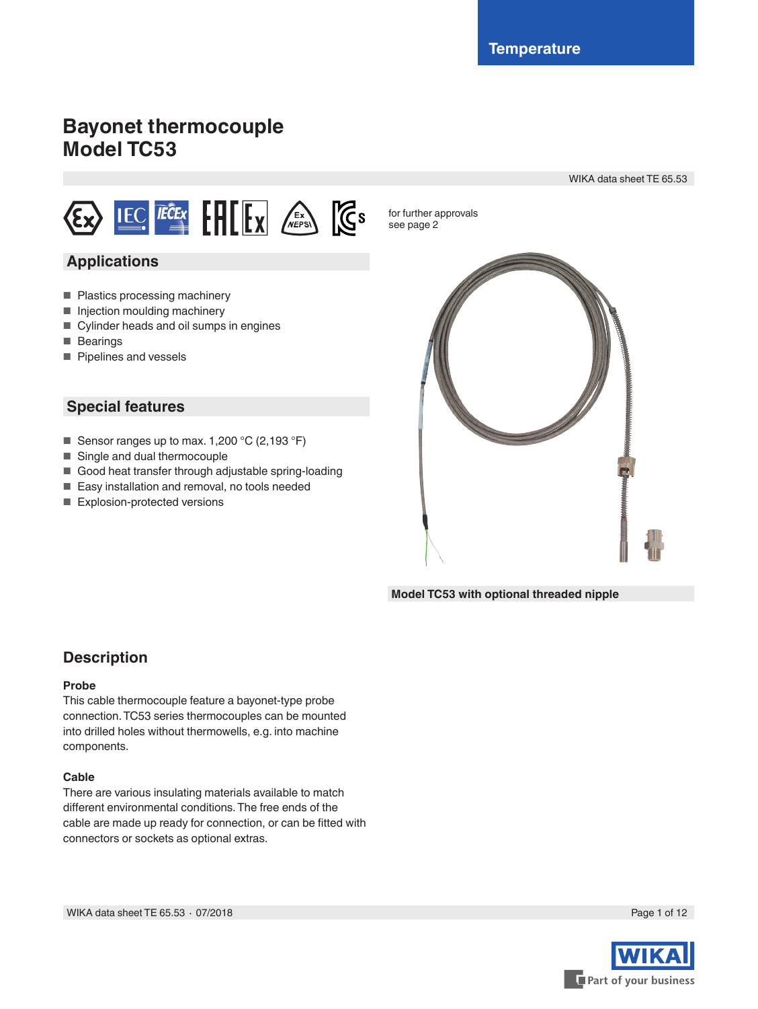# **Bayonet thermocouple Model TC53**

WIKA data sheet TE 65.53



### **Applications**

- Plastics processing machinery
- Injection moulding machinery
- Cylinder heads and oil sumps in engines
- Bearings
- Pipelines and vessels

### **Special features**

- Sensor ranges up to max. 1,200 °C (2,193 °F)
- Single and dual thermocouple
- Good heat transfer through adjustable spring-loading
- Easy installation and removal, no tools needed
- Explosion-protected versions

for further approvals see page 2



**Model TC53 with optional threaded nipple**

### **Description**

#### **Probe**

This cable thermocouple feature a bayonet-type probe connection. TC53 series thermocouples can be mounted into drilled holes without thermowells, e.g. into machine components.

#### **Cable**

There are various insulating materials available to match different environmental conditions. The free ends of the cable are made up ready for connection, or can be fitted with connectors or sockets as optional extras.

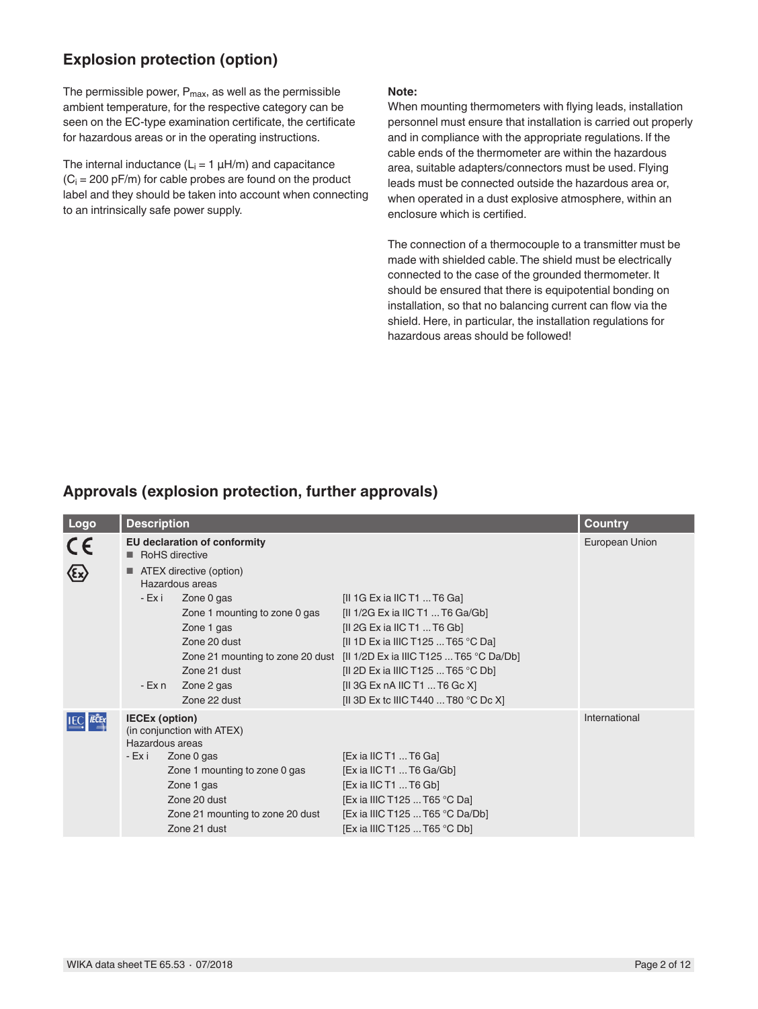## **Explosion protection (option)**

The permissible power,  $P_{\text{max}}$ , as well as the permissible ambient temperature, for the respective category can be seen on the EC-type examination certificate, the certificate for hazardous areas or in the operating instructions.

The internal inductance  $(L<sub>i</sub> = 1 \mu H/m)$  and capacitance  $(C_i = 200 \text{ pF/m})$  for cable probes are found on the product label and they should be taken into account when connecting to an intrinsically safe power supply.

#### **Note:**

When mounting thermometers with flying leads, installation personnel must ensure that installation is carried out properly and in compliance with the appropriate regulations. If the cable ends of the thermometer are within the hazardous area, suitable adapters/connectors must be used. Flying leads must be connected outside the hazardous area or, when operated in a dust explosive atmosphere, within an enclosure which is certified.

The connection of a thermocouple to a transmitter must be made with shielded cable. The shield must be electrically connected to the case of the grounded thermometer. It should be ensured that there is equipotential bonding on installation, so that no balancing current can flow via the shield. Here, in particular, the installation regulations for hazardous areas should be followed!

### **Approvals (explosion protection, further approvals)**

| Logo | <b>Description</b>                                                  | <b>Country</b>                                                                                                                                              |                                                                                                                                                                                                                                                                                                                                                  |               |
|------|---------------------------------------------------------------------|-------------------------------------------------------------------------------------------------------------------------------------------------------------|--------------------------------------------------------------------------------------------------------------------------------------------------------------------------------------------------------------------------------------------------------------------------------------------------------------------------------------------------|---------------|
| CE   | <b>EU declaration of conformity</b><br>RoHS directive               | European Union                                                                                                                                              |                                                                                                                                                                                                                                                                                                                                                  |               |
|      | $\blacksquare$ ATEX directive (option)<br>Hazardous areas<br>- Ex i |                                                                                                                                                             |                                                                                                                                                                                                                                                                                                                                                  |               |
|      | - Ex n                                                              | Zone 0 gas<br>Zone 1 mounting to zone 0 gas<br>Zone 1 gas<br>Zone 20 dust<br>Zone 21 dust<br>Zone 2 gas<br>Zone 22 dust                                     | [II 1G Ex ia IIC T1 $\dots$ T6 Ga]<br>[II 1/2G Ex ia IIC T1  T6 Ga/Gb]<br>[II 2G Ex ia IIC T1  T6 Gb]<br>[II 1D Ex ia IIIC T125  T65 °C Da]<br>Zone 21 mounting to zone 20 dust [II 1/2D Ex ia IIIC T125  T65 °C Da/Db]<br>[II 2D Ex ia IIIC T125  T65 °C Db]<br>[II 3G Ex nA IIC T1  T6 Gc X]<br>[II 3D Ex to IIIC T440  T80 $^{\circ}$ C Dc X] |               |
|      | <b>IECEx (option)</b><br>Hazardous areas<br>- Ex i                  | (in conjunction with ATEX)<br>Zone 0 gas<br>Zone 1 mounting to zone 0 gas<br>Zone 1 gas<br>Zone 20 dust<br>Zone 21 mounting to zone 20 dust<br>Zone 21 dust | [Ex ia IIC T1  T6 Ga]<br>[Ex ia IIC T1  T6 Ga/Gb]<br>$[Ex$ ia IIC T1  T6 Gb]<br>[Ex ia IIIC T125  T65 °C Da]<br>[Ex ia IIIC T125  T65 °C Da/Db]<br>[Ex ia IIIC T125 T65 °C Db]                                                                                                                                                                   | International |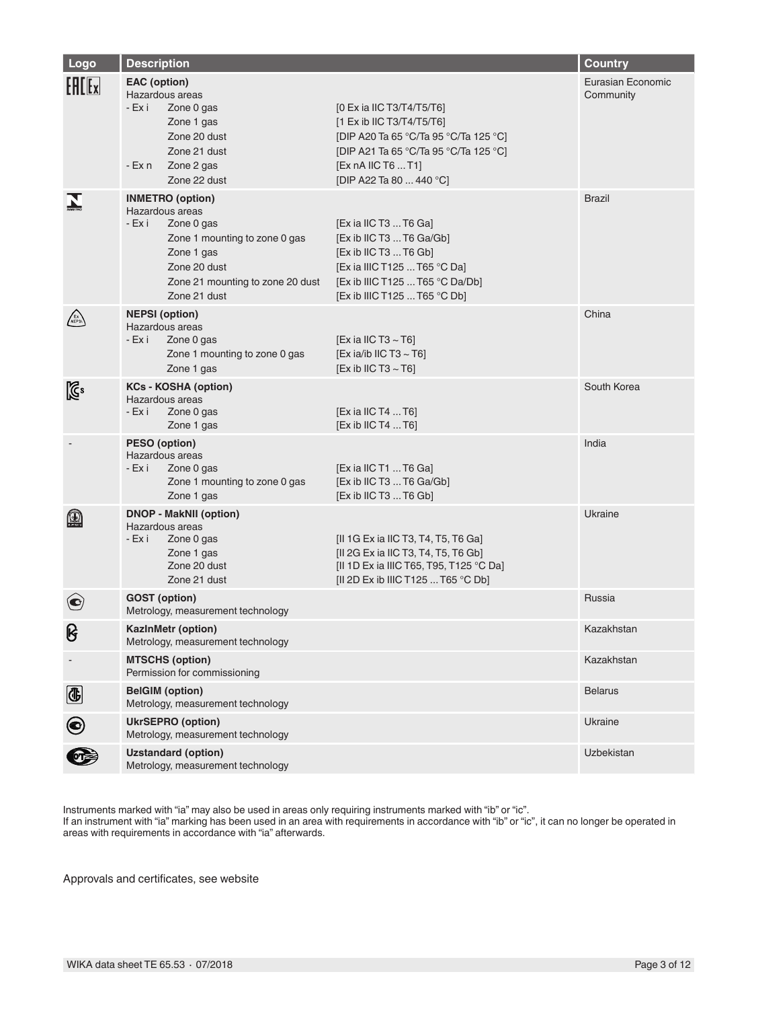| Logo           | <b>Description</b>                                                                                                                                                                                                                                                                                                                                                     | <b>Country</b>    |                   |
|----------------|------------------------------------------------------------------------------------------------------------------------------------------------------------------------------------------------------------------------------------------------------------------------------------------------------------------------------------------------------------------------|-------------------|-------------------|
| <b>EALEx</b>   | <b>EAC</b> (option)<br>Hazardous areas<br>- Ex i<br>[0 Ex ia IIC T3/T4/T5/T6]<br>Zone 0 gas<br>[1 Ex ib IIC T3/T4/T5/T6]<br>Zone 1 gas<br>Zone 20 dust<br>[DIP A20 Ta 65 °C/Ta 95 °C/Ta 125 °C]<br>Zone 21 dust<br>[DIP A21 Ta 65 °C/Ta 95 °C/Ta 125 °C]<br>[Ex nA IIC T6  T1]<br>- Ex n<br>Zone 2 gas<br>Zone 22 dust<br>[DIP A22 Ta 80  440 °C]                      | Community         | Eurasian Economic |
|                | <b>INMETRO</b> (option)<br>Hazardous areas<br>- Ex i<br>Zone 0 gas<br>[Ex ia IIC T3  T6 Ga]<br>[Ex ib IIC T3  T6 Ga/Gb]<br>Zone 1 mounting to zone 0 gas<br>[Ex ib IIC T3  T6 Gb]<br>Zone 1 gas<br>Zone 20 dust<br>[Ex ia IIIC T125  T65 °C Da]<br>[Ex ib IIIC T125  T65 °C Da/Db]<br>Zone 21 mounting to zone 20 dust<br>[Ex ib IIIC T125  T65 °C Db]<br>Zone 21 dust | <b>Brazil</b>     |                   |
|                | <b>NEPSI</b> (option)<br>Hazardous areas<br>- Ex i<br>[Ex ia IIC T3 $\sim$ T6]<br>Zone 0 gas<br>[Ex ia/ib IIC T3 $\sim$ T6]<br>Zone 1 mounting to zone 0 gas<br>Zone 1 gas<br>[Ex ib IIC T3 $\sim$ T6]                                                                                                                                                                 | China             |                   |
| $\mathbb{Z}^2$ | <b>KCs - KOSHA (option)</b><br>Hazardous areas<br>- Ex i<br>Zone 0 gas<br>[Ex ia IIC T4  T6]<br>[Ex ib IIC T4  T6]<br>Zone 1 gas                                                                                                                                                                                                                                       | South Korea       |                   |
|                | PESO (option)<br>Hazardous areas<br>- Ex i<br>[Ex ia IIC T1  T6 Ga]<br>Zone 0 gas<br>[Ex ib IIC T3  T6 Ga/Gb]<br>Zone 1 mounting to zone 0 gas<br>[Ex ib IIC T3  T6 Gb]<br>Zone 1 gas                                                                                                                                                                                  | India             |                   |
| $\bf \omega$   | <b>DNOP - MakNII (option)</b><br>Hazardous areas<br>- Ex i<br>Zone 0 gas<br>[II 1G Ex ia IIC T3, T4, T5, T6 Ga]<br>[II 2G Ex ia IIC T3, T4, T5, T6 Gb]<br>Zone 1 gas<br>Zone 20 dust<br>[II 1D Ex ia IIIC T65, T95, T125 °C Da]<br>[II 2D Ex ib IIIC T125  T65 °C Db]<br>Zone 21 dust                                                                                  | Ukraine           |                   |
|                | <b>GOST</b> (option)<br>Metrology, measurement technology                                                                                                                                                                                                                                                                                                              | Russia            |                   |
| ၆              | KazInMetr (option)<br>Metrology, measurement technology                                                                                                                                                                                                                                                                                                                | Kazakhstan        |                   |
|                | <b>MTSCHS (option)</b><br>Permission for commissioning                                                                                                                                                                                                                                                                                                                 | Kazakhstan        |                   |
| G              | <b>BelGIM (option)</b><br>Metrology, measurement technology                                                                                                                                                                                                                                                                                                            | <b>Belarus</b>    |                   |
| $\bigcirc$     | <b>UkrSEPRO (option)</b><br>Metrology, measurement technology                                                                                                                                                                                                                                                                                                          | Ukraine           |                   |
|                | <b>Uzstandard (option)</b><br>Metrology, measurement technology                                                                                                                                                                                                                                                                                                        | <b>Uzbekistan</b> |                   |

Instruments marked with "ia" may also be used in areas only requiring instruments marked with "ib" or "ic".

If an instrument with "ia" marking has been used in an area with requirements in accordance with "ib" or "ic", it can no longer be operated in areas with requirements in accordance with "ia" afterwards.

Approvals and certificates, see website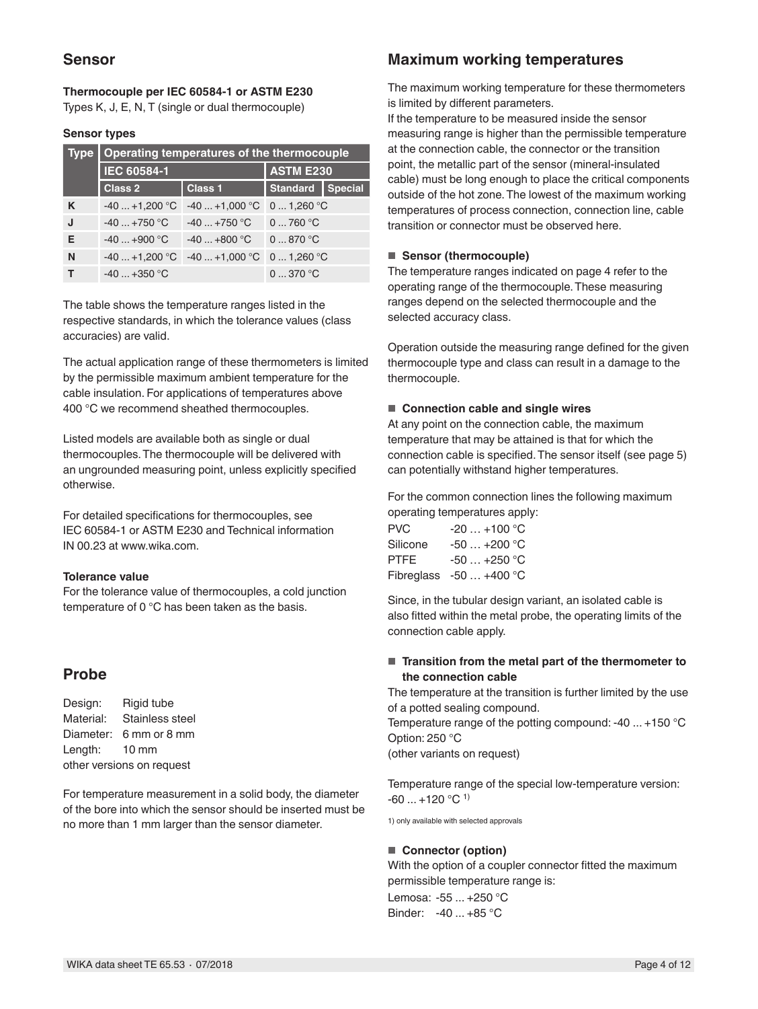### **Sensor**

#### **Thermocouple per IEC 60584-1 or ASTM E230** Types K, J, E, N, T (single or dual thermocouple)

#### **Sensor types**

| <b>Type</b> | Operating temperatures of the thermocouple |                |                  |                |
|-------------|--------------------------------------------|----------------|------------------|----------------|
|             | IEC 60584-1                                |                | <b>ASTM E230</b> |                |
|             | <b>Class 2</b>                             | <b>Class 1</b> | <b>Standard</b>  | <b>Special</b> |
| K           | $-40+1,200$ °C                             | $-40+1,000$ °C | 01,260 °C        |                |
|             | $-40+750$ °C                               | $-40+750$ °C   | 0760 °C          |                |
| Е           | $-40+900$ °C                               | $-40+800$ °C   | 0870 °C          |                |
| N           | $-40+1,200$ °C                             | $-40+1,000$ °C | 01,260 °C        |                |
|             | $-40+350$ °C                               |                | 0370 °C          |                |

The table shows the temperature ranges listed in the respective standards, in which the tolerance values (class accuracies) are valid.

The actual application range of these thermometers is limited by the permissible maximum ambient temperature for the cable insulation. For applications of temperatures above 400 °C we recommend sheathed thermocouples.

Listed models are available both as single or dual thermocouples. The thermocouple will be delivered with an ungrounded measuring point, unless explicitly specified otherwise.

For detailed specifications for thermocouples, see IEC 60584-1 or ASTM E230 and Technical information IN 00.23 at www.wika.com.

#### **Tolerance value**

For the tolerance value of thermocouples, a cold junction temperature of 0 °C has been taken as the basis.

### **Probe**

Design: Rigid tube Material: Stainless steel Diameter: 6 mm or 8 mm Length: 10 mm other versions on request

For temperature measurement in a solid body, the diameter of the bore into which the sensor should be inserted must be no more than 1 mm larger than the sensor diameter.

### **Maximum working temperatures**

The maximum working temperature for these thermometers is limited by different parameters.

If the temperature to be measured inside the sensor measuring range is higher than the permissible temperature at the connection cable, the connector or the transition point, the metallic part of the sensor (mineral-insulated cable) must be long enough to place the critical components outside of the hot zone. The lowest of the maximum working temperatures of process connection, connection line, cable transition or connector must be observed here.

#### ■ **Sensor (thermocouple)**

The temperature ranges indicated on page 4 refer to the operating range of the thermocouple. These measuring ranges depend on the selected thermocouple and the selected accuracy class.

Operation outside the measuring range defined for the given thermocouple type and class can result in a damage to the thermocouple.

#### ■ **Connection cable and single wires**

At any point on the connection cable, the maximum temperature that may be attained is that for which the connection cable is specified. The sensor itself (see page 5) can potentially withstand higher temperatures.

For the common connection lines the following maximum operating temperatures apply:

| <b>PVC</b>  | $-20+100$ °C            |
|-------------|-------------------------|
| Silicone    | $-50+200$ °C            |
| <b>PTFE</b> | $-50+250$ °C            |
|             | Fibreglass -50  +400 °C |

Since, in the tubular design variant, an isolated cable is also fitted within the metal probe, the operating limits of the connection cable apply.

#### ■ **Transition from the metal part of the thermometer to the connection cable**

The temperature at the transition is further limited by the use of a potted sealing compound. Temperature range of the potting compound: -40 ... +150 °C Option: 250 °C

(other variants on request)

Temperature range of the special low-temperature version:  $-60$  ...  $+120$  °C<sup>1)</sup>

1) only available with selected approvals

#### ■ **Connector (option)**

With the option of a coupler connector fitted the maximum permissible temperature range is:

Lemosa: -55 ... +250 °C Binder: -40 ... +85 °C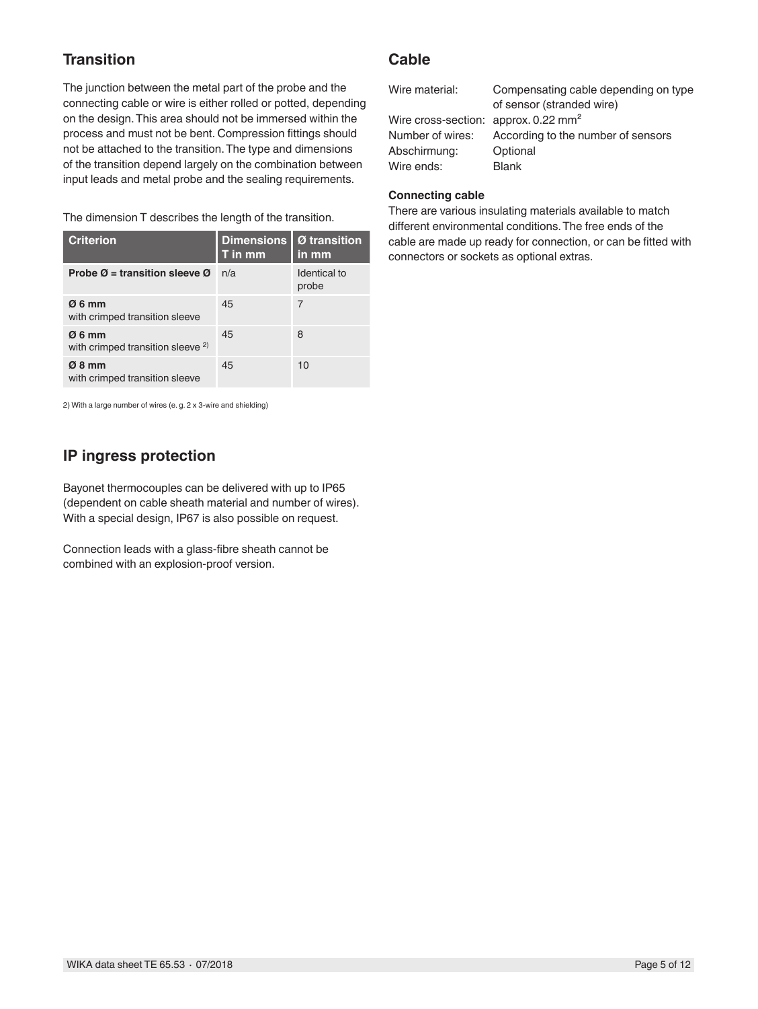## **Transition**

The junction between the metal part of the probe and the connecting cable or wire is either rolled or potted, depending on the design. This area should not be immersed within the process and must not be bent. Compression fittings should not be attached to the transition. The type and dimensions of the transition depend largely on the combination between input leads and metal probe and the sealing requirements.

The dimension T describes the length of the transition.

| <b>Criterion</b>                                      | <b>Dimensions</b><br>T in mm | Ø transition<br>in mm |
|-------------------------------------------------------|------------------------------|-----------------------|
| Probe $\varnothing$ = transition sleeve $\varnothing$ | n/a                          | Identical to<br>probe |
| Ø6mm<br>with crimped transition sleeve                | 45                           | 7                     |
| Ø6mm<br>with crimped transition sleeve <sup>2)</sup>  | 45                           | 8                     |
| $Ø_8$ mm<br>with crimped transition sleeve            | 45                           | 10                    |

2) With a large number of wires (e. g. 2 x 3-wire and shielding)

### **IP ingress protection**

Bayonet thermocouples can be delivered with up to IP65 (dependent on cable sheath material and number of wires). With a special design, IP67 is also possible on request.

Connection leads with a glass-fibre sheath cannot be combined with an explosion-proof version.

### **Cable**

| Wire material:                                  | Compensating cable depending on type<br>of sensor (stranded wire) |
|-------------------------------------------------|-------------------------------------------------------------------|
| Wire cross-section: approx. $0.22 \text{ mm}^2$ |                                                                   |
| Number of wires:                                | According to the number of sensors                                |
| Abschirmung:                                    | Optional                                                          |
| Wire ends:                                      | <b>Blank</b>                                                      |

### **Connecting cable**

There are various insulating materials available to match different environmental conditions. The free ends of the cable are made up ready for connection, or can be fitted with connectors or sockets as optional extras.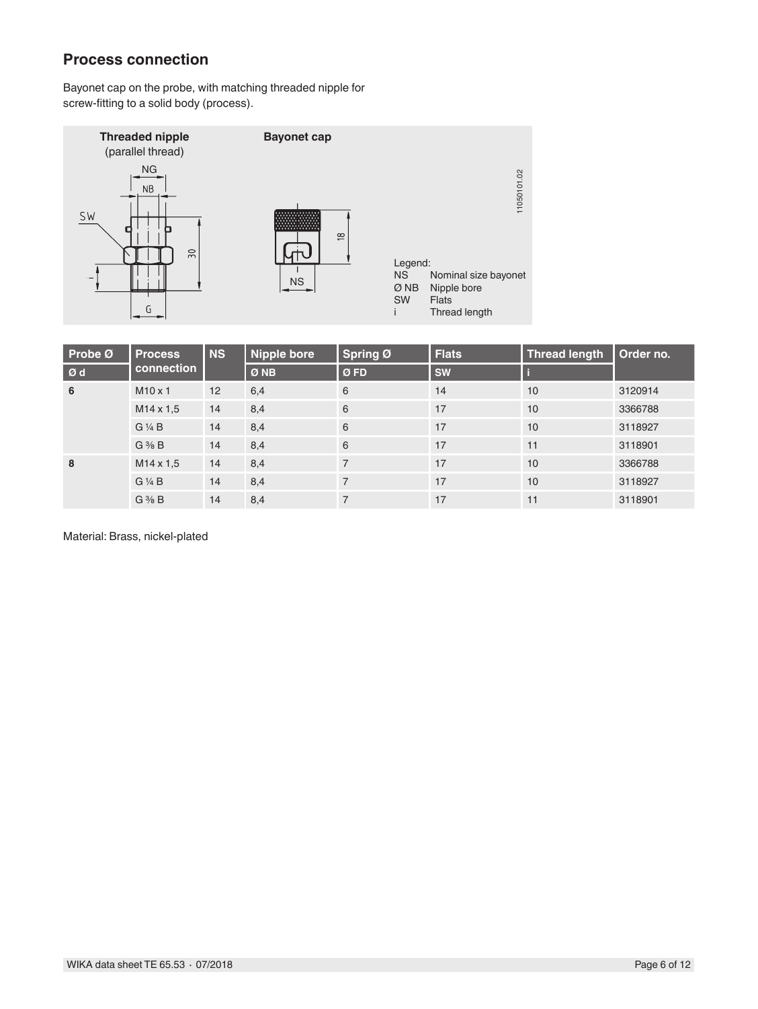### **Process connection**

Bayonet cap on the probe, with matching threaded nipple for screw-fitting to a solid body (process).



| Probe Ø | <b>Process</b>    | <b>NS</b> | <b>Nipple bore</b> | Spring Ø       | <b>Flats</b> | <b>Thread length</b> | Order no. |
|---------|-------------------|-----------|--------------------|----------------|--------------|----------------------|-----------|
| Ød      | connection        |           | Ø NB               | ØFD            | <b>SW</b>    |                      |           |
| 6       | $M10 \times 1$    | 12        | 6,4                | 6              | 14           | 10                   | 3120914   |
|         | $M14 \times 1.5$  | 14        | 8,4                | 6              | 17           | 10                   | 3366788   |
|         | $G\frac{1}{4}B$   | 14        | 8,4                | 6              | 17           | 10                   | 3118927   |
|         | $G \frac{3}{8} B$ | 14        | 8,4                | 6              | 17           | 11                   | 3118901   |
| 8       | $M14 \times 1.5$  | 14        | 8,4                | $\overline{7}$ | 17           | 10                   | 3366788   |
|         | $G\frac{1}{4}B$   | 14        | 8,4                | $\overline{7}$ | 17           | 10                   | 3118927   |
|         | $G \frac{3}{8} B$ | 14        | 8,4                | 7              | 17           | 11                   | 3118901   |

Material: Brass, nickel-plated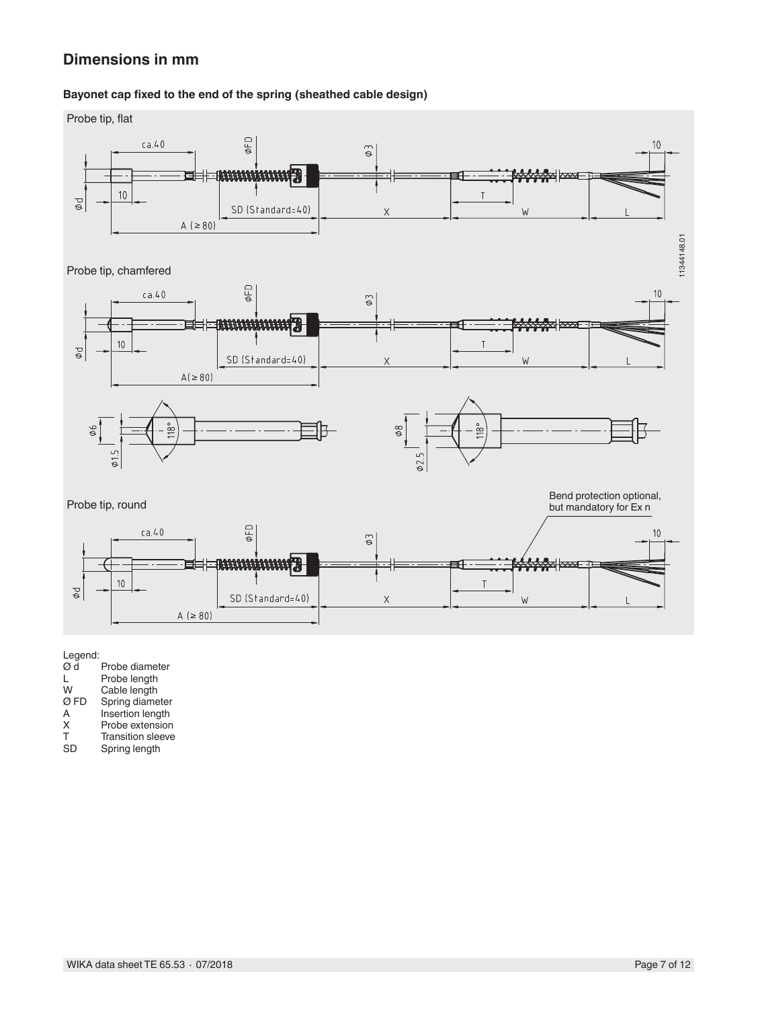### **Dimensions in mm**

#### **Bayonet cap fixed to the end of the spring (sheathed cable design)**



Legend:<br>Ø d  $\overrightarrow{Q}$  d Probe diameter<br>L Probe length L Probe length<br>W Cable length W Cable length Ø FD Spring diameter A Insertion length<br>X Probe extension X Probe extension<br>T Transition sleeve T Transition sleeve<br>SD Spring length Spring length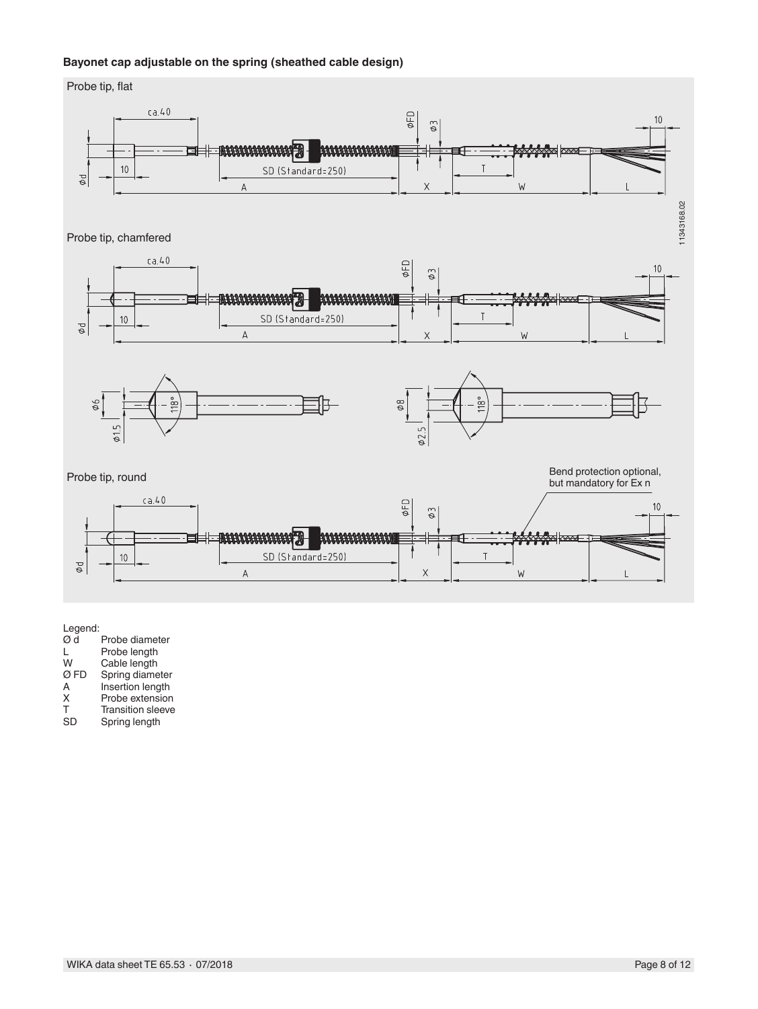#### **Bayonet cap adjustable on the spring (sheathed cable design)**



Legend:

| Ød   | Probe diameter                      |
|------|-------------------------------------|
| L    | Probe length                        |
| W    | Cable length                        |
| Ø FD | Spring diameter                     |
| A    | Insertion length                    |
| х    | Probe extension                     |
| ᠇    | منتجاه والمستخلفة والمتحدد والتناقص |

T Transition sleeve<br>SD Spring length Spring length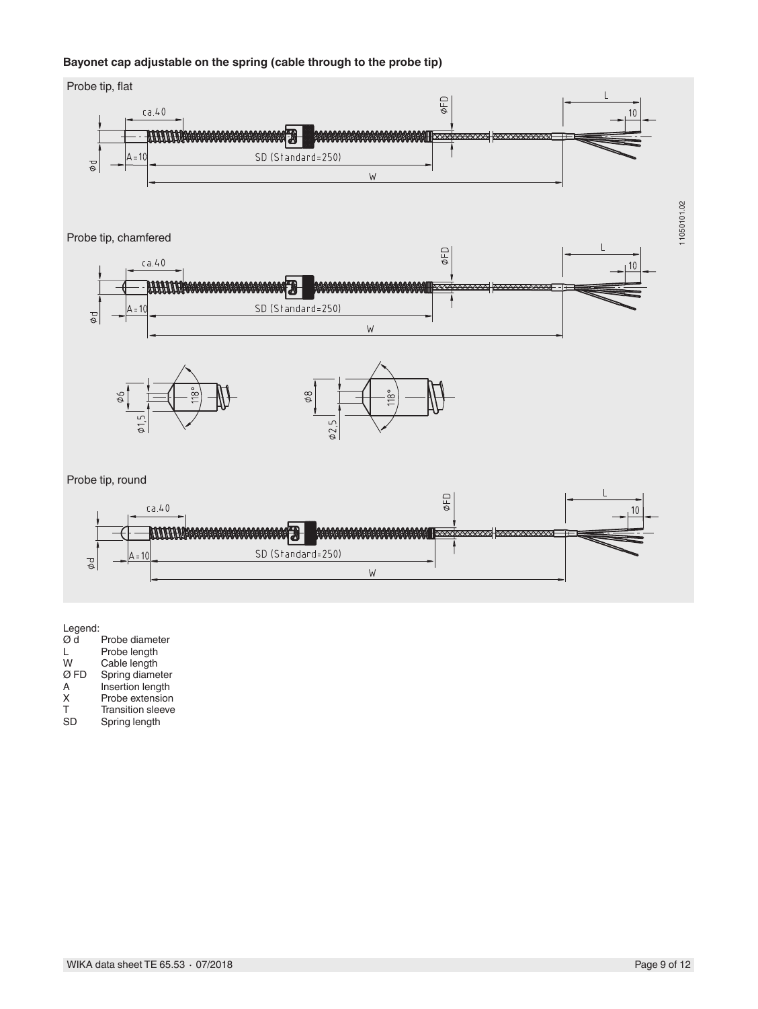#### **Bayonet cap adjustable on the spring (cable through to the probe tip)**



Legend:

| Ød   | Probe diameter           |
|------|--------------------------|
| L    | Probe length             |
| W    | Cable length             |
| Ø FD | Spring diameter          |
| A    | Insertion length         |
| X    | Probe extension          |
| т    | <b>Transition sleeve</b> |
| SD   | Spring length            |
|      |                          |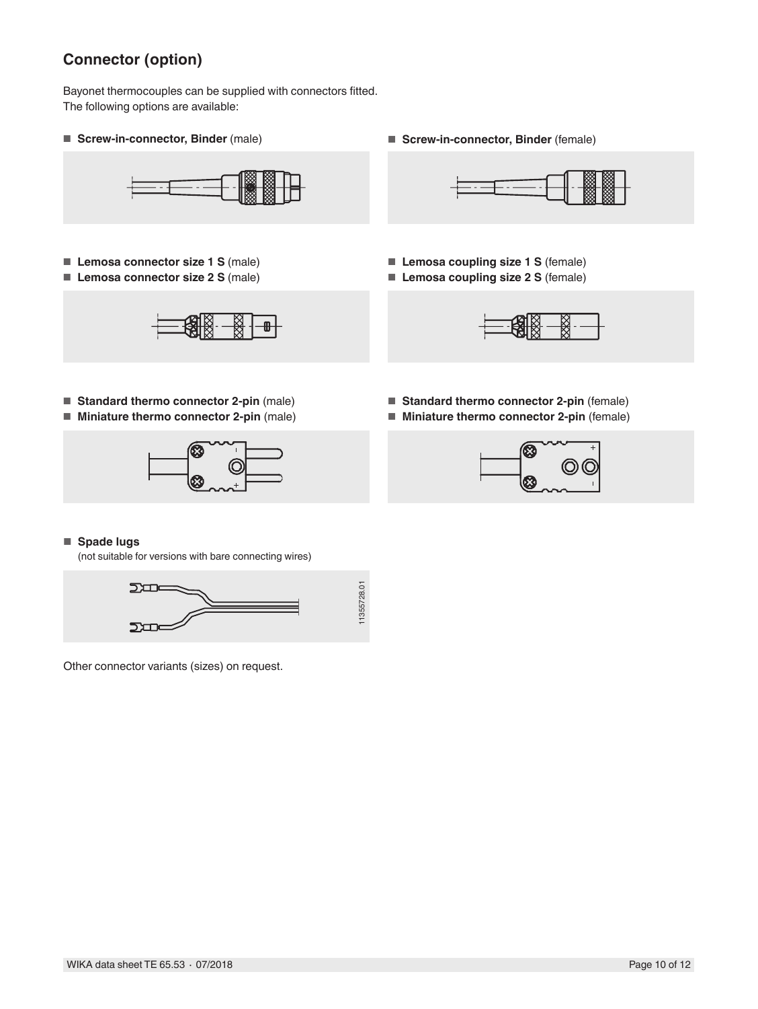# **Connector (option)**

Bayonet thermocouples can be supplied with connectors fitted. The following options are available:



- **Lemosa connector size 1 S** (male)
- **Lemosa connector size 2 S** (male)



- **Standard thermo connector 2-pin** (male)
- **Miniature thermo connector 2-pin** (male)



■ **Screw-in-connector, Binder** (male) ■ **Borew-in-connector, Binder** (female)



- **Lemosa coupling size 1 S** (female)
- **Lemosa coupling size 2 S** (female)



- **Standard thermo connector 2-pin** (female)
- **Miniature thermo connector 2-pin** (female)



#### ■ **Spade lugs**

(not suitable for versions with bare connecting wires)



Other connector variants (sizes) on request.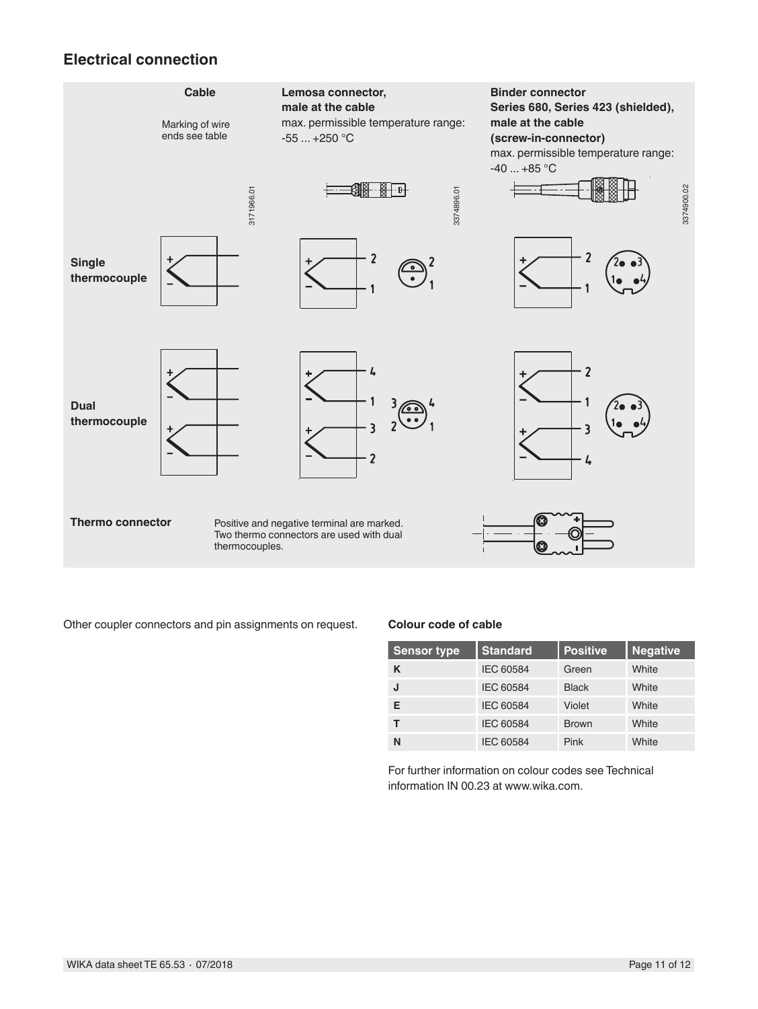### **Electrical connection**



| <b>Sensor type</b> | <b>Standard</b>  | <b>Positive</b> | <b>Negative</b> |
|--------------------|------------------|-----------------|-----------------|
| K                  | <b>IEC 60584</b> | Green           | White           |
| IJ                 | <b>IEC 60584</b> | <b>Black</b>    | White           |
| Е                  | IEC 60584        | Violet          | White           |
| т                  | <b>IEC 60584</b> | <b>Brown</b>    | White           |
| N                  | <b>IEC 60584</b> | Pink            | White           |

For further information on colour codes see Technical information IN 00.23 at www.wika.com.